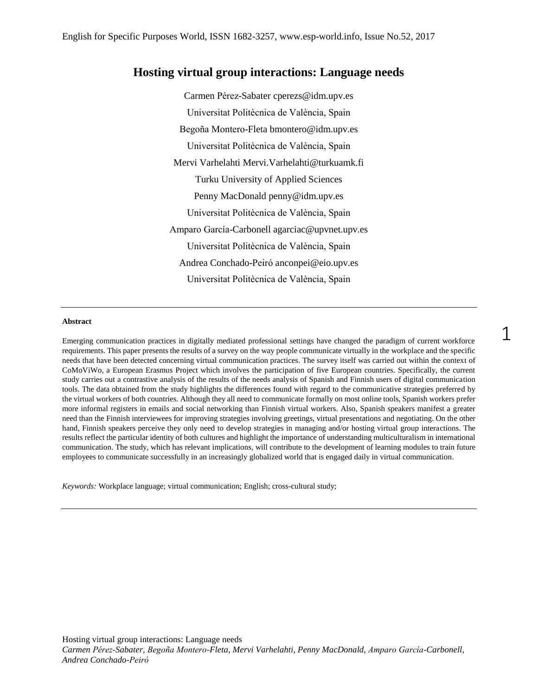# **Hosting virtual group interactions: Language needs**

Carmen Pérez-Sabater cperezs@idm.upv.es Universitat Politècnica de València, Spain Begoña Montero-Fleta bmontero@idm.upv.es Universitat Politècnica de València, Spain Mervi Varhelahti Mervi.Varhelahti@turkuamk.fi Turku University of Applied Sciences Penny MacDonald penny@idm.upv.es Universitat Politècnica de València, Spain Amparo García-Carbonell agarciac@upvnet.upv.es Universitat Politècnica de València, Spain Andrea Conchado-Peiró anconpei@eio.upv.es Universitat Politècnica de València, Spain

#### **Abstract**

Emerging communication practices in digitally mediated professional settings have changed the paradigm of current workforce requirements. This paper presents the results of a survey on the way people communicate virtually in the workplace and the specific needs that have been detected concerning virtual communication practices. The survey itself was carried out within the context of CoMoViWo, a European Erasmus Project which involves the participation of five European countries. Specifically, the current study carries out a contrastive analysis of the results of the needs analysis of Spanish and Finnish users of digital communication tools. The data obtained from the study highlights the differences found with regard to the communicative strategies preferred by the virtual workers of both countries. Although they all need to communicate formally on most online tools, Spanish workers prefer more informal registers in emails and social networking than Finnish virtual workers. Also, Spanish speakers manifest a greater need than the Finnish interviewees for improving strategies involving greetings, virtual presentations and negotiating. On the other hand, Finnish speakers perceive they only need to develop strategies in managing and/or hosting virtual group interactions. The results reflect the particular identity of both cultures and highlight the importance of understanding multiculturalism in international communication. The study, which has relevant implications, will contribute to the development of learning modules to train future employees to communicate successfully in an increasingly globalized world that is engaged daily in virtual communication.

*Keywords:* Workplace language; virtual communication; English; cross-cultural study;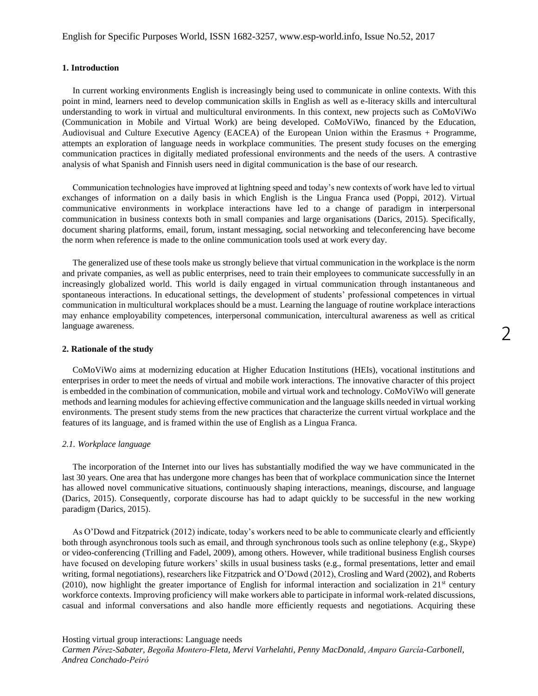## **1. Introduction**

In current working environments English is increasingly being used to communicate in online contexts. With this point in mind, learners need to develop communication skills in English as well as e-literacy skills and intercultural understanding to work in virtual and multicultural environments. In this context, new projects such as CoMoViWo (Communication in Mobile and Virtual Work) are being developed. CoMoViWo, financed by the Education, Audiovisual and Culture Executive Agency (EACEA) of the European Union within the Erasmus + Programme, attempts an exploration of language needs in workplace communities. The present study focuses on the emerging communication practices in digitally mediated professional environments and the needs of the users. A contrastive analysis of what Spanish and Finnish users need in digital communication is the base of our research.

Communication technologies have improved at lightning speed and today's new contexts of work have led to virtual exchanges of information on a daily basis in which English is the Lingua Franca used (Poppi, 2012). Virtual communicative environments in workplace interactions have led to a change of paradigm in int**e**rpersonal communication in business contexts both in small companies and large organisations (Darics, 2015). Specifically, document sharing platforms, email, forum, instant messaging, social networking and teleconferencing have become the norm when reference is made to the online communication tools used at work every day.

The generalized use of these tools make us strongly believe that virtual communication in the workplace is the norm and private companies, as well as public enterprises, need to train their employees to communicate successfully in an increasingly globalized world. This world is daily engaged in virtual communication through instantaneous and spontaneous interactions. In educational settings, the development of students' professional competences in virtual communication in multicultural workplaces should be a must. Learning the language of routine workplace interactions may enhance employability competences, interpersonal communication, intercultural awareness as well as critical language awareness.

#### **2. Rationale of the study**

CoMoViWo aims at modernizing education at Higher Education Institutions (HEIs), vocational institutions and enterprises in order to meet the needs of virtual and mobile work interactions. The innovative character of this project is embedded in the combination of communication, mobile and virtual work and technology. CoMoViWo will generate methods and learning modules for achieving effective communication and the language skills needed in virtual working environments. The present study stems from the new practices that characterize the current virtual workplace and the features of its language, and is framed within the use of English as a Lingua Franca.

#### *2.1. Workplace language*

The incorporation of the Internet into our lives has substantially modified the way we have communicated in the last 30 years. One area that has undergone more changes has been that of workplace communication since the Internet has allowed novel communicative situations, continuously shaping interactions, meanings, discourse, and language (Darics, 2015). Consequently, corporate discourse has had to adapt quickly to be successful in the new working paradigm (Darics, 2015).

As O'Dowd and Fitzpatrick (2012) indicate, today's workers need to be able to communicate clearly and efficiently both through asynchronous tools such as email, and through synchronous tools such as online telephony (e.g., Skype) or video-conferencing (Trilling and Fadel, 2009), among others. However, while traditional business English courses have focused on developing future workers' skills in usual business tasks (e.g., formal presentations, letter and email writing, formal negotiations), researchers like Fitzpatrick and O'Dowd (2012), Crosling and Ward (2002), and Roberts (2010), now highlight the greater importance of English for informal interaction and socialization in  $21<sup>st</sup>$  century workforce contexts. Improving proficiency will make workers able to participate in informal work-related discussions, casual and informal conversations and also handle more efficiently requests and negotiations. Acquiring these

Hosting virtual group interactions: Language needs

*Carmen Pérez-Sabater, Begoña Montero-Fleta, Mervi Varhelahti, Penny MacDonald, Amparo García-Carbonell, Andrea Conchado-Peiró*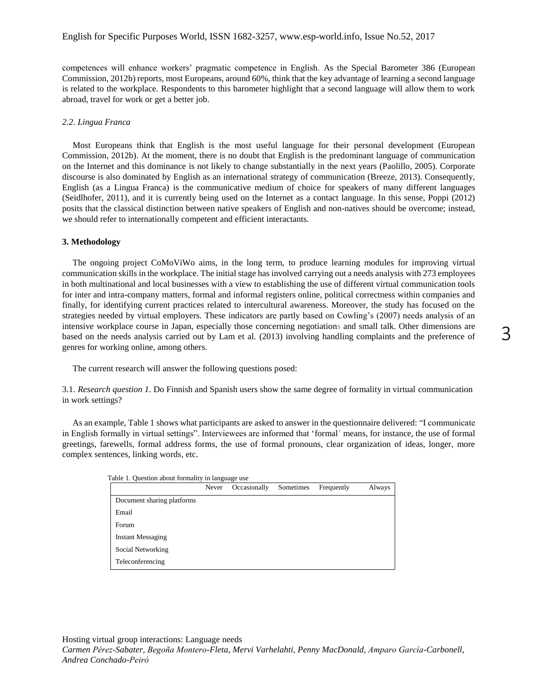competences will enhance workers' pragmatic competence in English. As the Special Barometer 386 (European Commission, 2012b) reports, most Europeans, around 60%, think that the key advantage of learning a second language is related to the workplace. Respondents to this barometer highlight that a second language will allow them to work abroad, travel for work or get a better job.

#### *2.2. Lingua Franca*

Most Europeans think that English is the most useful language for their personal development (European Commission, 2012b). At the moment, there is no doubt that English is the predominant language of communication on the Internet and this dominance is not likely to change substantially in the next years (Paolillo, 2005). Corporate discourse is also dominated by English as an international strategy of communication (Breeze, 2013). Consequently, English (as a Lingua Franca) is the communicative medium of choice for speakers of many different languages (Seidlhofer, 2011), and it is currently being used on the Internet as a contact language. In this sense, Poppi (2012) posits that the classical distinction between native speakers of English and non-natives should be overcome; instead, we should refer to internationally competent and efficient interactants.

#### **3. Methodology**

The ongoing project CoMoViWo aims, in the long term, to produce learning modules for improving virtual communication skills in the workplace. The initial stage has involved carrying out a needs analysis with 273 employees in both multinational and local businesses with a view to establishing the use of different virtual communication tools for inter and intra-company matters, formal and informal registers online, political correctness within companies and finally, for identifying current practices related to intercultural awareness. Moreover, the study has focused on the strategies needed by virtual employers. These indicators are partly based on Cowling's (2007) needs analysis of an intensive workplace course in Japan, especially those concerning negotiations and small talk. Other dimensions are based on the needs analysis carried out by Lam et al. (2013) involving handling complaints and the preference of genres for working online, among others.

The current research will answer the following questions posed:

3.1. *Research question 1.* Do Finnish and Spanish users show the same degree of formality in virtual communication in work settings?

As an example, Table 1 shows what participants are asked to answer in the questionnaire delivered: "I communicate in English formally in virtual settings". Interviewees are informed that 'formal' means, for instance, the use of formal greetings, farewells, formal address forms, the use of formal pronouns, clear organization of ideas, longer, more complex sentences, linking words, etc.

| Table 1. Question about formality in language use |       |              |           |            |        |
|---------------------------------------------------|-------|--------------|-----------|------------|--------|
|                                                   | Never | Occasionally | Sometimes | Frequently | Always |
| Document sharing platforms                        |       |              |           |            |        |
| Email                                             |       |              |           |            |        |
| Forum                                             |       |              |           |            |        |
| <b>Instant Messaging</b>                          |       |              |           |            |        |
| Social Networking                                 |       |              |           |            |        |
| Teleconferencing                                  |       |              |           |            |        |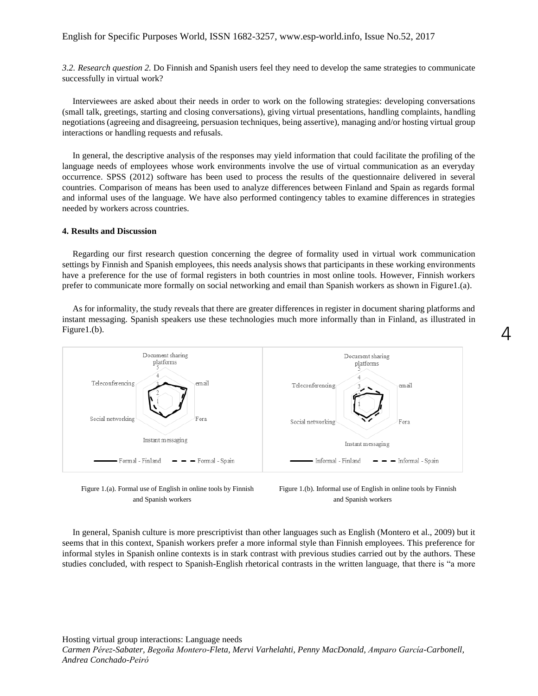*3.2. Research question 2.* Do Finnish and Spanish users feel they need to develop the same strategies to communicate successfully in virtual work?

Interviewees are asked about their needs in order to work on the following strategies: developing conversations (small talk, greetings, starting and closing conversations), giving virtual presentations, handling complaints, handling negotiations (agreeing and disagreeing, persuasion techniques, being assertive), managing and/or hosting virtual group interactions or handling requests and refusals.

In general, the descriptive analysis of the responses may yield information that could facilitate the profiling of the language needs of employees whose work environments involve the use of virtual communication as an everyday occurrence. SPSS (2012) software has been used to process the results of the questionnaire delivered in several countries. Comparison of means has been used to analyze differences between Finland and Spain as regards formal and informal uses of the language. We have also performed contingency tables to examine differences in strategies needed by workers across countries.

## **4. Results and Discussion**

Regarding our first research question concerning the degree of formality used in virtual work communication settings by Finnish and Spanish employees, this needs analysis shows that participants in these working environments have a preference for the use of formal registers in both countries in most online tools. However, Finnish workers prefer to communicate more formally on social networking and email than Spanish workers as shown in Figure1.(a).

As for informality, the study reveals that there are greater differences in register in document sharing platforms and instant messaging. Spanish speakers use these technologies much more informally than in Finland, as illustrated in Figure1.(b).



Figure 1.(a). Formal use of English in online tools by Finnish and Spanish workers



In general, Spanish culture is more prescriptivist than other languages such as English (Montero et al., 2009) but it seems that in this context, Spanish workers prefer a more informal style than Finnish employees. This preference for informal styles in Spanish online contexts is in stark contrast with previous studies carried out by the authors. These studies concluded, with respect to Spanish-English rhetorical contrasts in the written language, that there is "a more

Hosting virtual group interactions: Language needs *Carmen Pérez-Sabater, Begoña Montero-Fleta, Mervi Varhelahti, Penny MacDonald, Amparo García-Carbonell, Andrea Conchado-Peiró*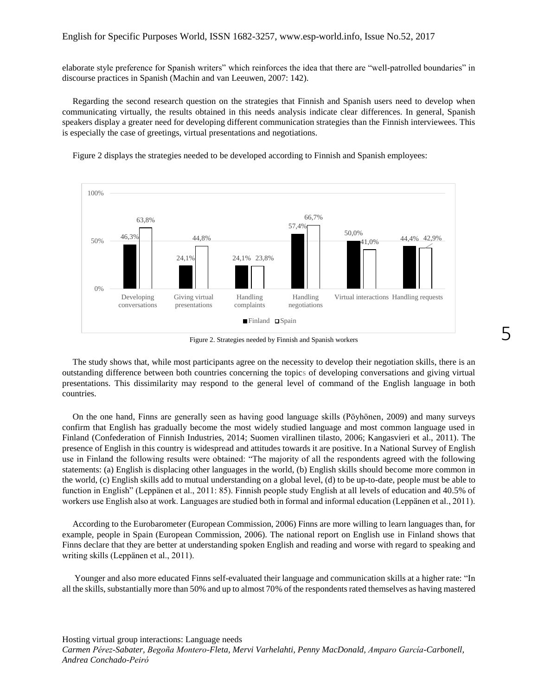elaborate style preference for Spanish writers" which reinforces the idea that there are "well-patrolled boundaries" in discourse practices in Spanish (Machin and van Leeuwen, 2007: 142).

Regarding the second research question on the strategies that Finnish and Spanish users need to develop when communicating virtually, the results obtained in this needs analysis indicate clear differences. In general, Spanish speakers display a greater need for developing different communication strategies than the Finnish interviewees. This is especially the case of greetings, virtual presentations and negotiations.

Figure 2 displays the strategies needed to be developed according to Finnish and Spanish employees:



Figure 2. Strategies needed by Finnish and Spanish workers

The study shows that, while most participants agree on the necessity to develop their negotiation skills, there is an outstanding difference between both countries concerning the topics of developing conversations and giving virtual presentations. This dissimilarity may respond to the general level of command of the English language in both countries.

On the one hand, Finns are generally seen as having good language skills (Pöyhönen, 2009) and many surveys confirm that English has gradually become the most widely studied language and most common language used in Finland (Confederation of Finnish Industries, 2014; Suomen virallinen tilasto, 2006; Kangasvieri et al., 2011). The presence of English in this country is widespread and attitudes towards it are positive. In a National Survey of English use in Finland the following results were obtained: "The majority of all the respondents agreed with the following statements: (a) English is displacing other languages in the world, (b) English skills should become more common in the world, (c) English skills add to mutual understanding on a global level, (d) to be up-to-date, people must be able to function in English" (Leppänen et al., 2011: 85). Finnish people study English at all levels of education and 40.5% of workers use English also at work. Languages are studied both in formal and informal education (Leppänen et al., 2011).

According to the Eurobarometer (European Commission, 2006) Finns are more willing to learn languages than, for example, people in Spain (European Commission, 2006). The national report on English use in Finland shows that Finns declare that they are better at understanding spoken English and reading and worse with regard to speaking and writing skills (Leppänen et al., 2011).

Younger and also more educated Finns self-evaluated their language and communication skills at a higher rate: "In all the skills, substantially more than 50% and up to almost 70% of the respondents rated themselves as having mastered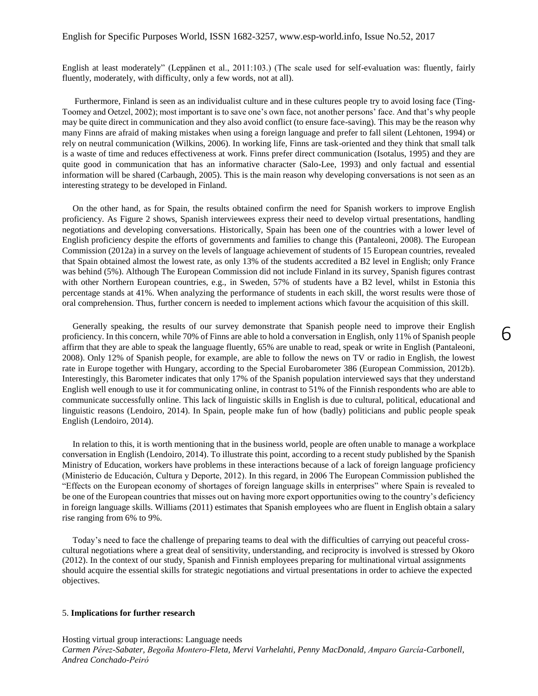English at least moderately" (Leppänen et al., 2011:103.) (The scale used for self-evaluation was: fluently, fairly fluently, moderately, with difficulty, only a few words, not at all).

Furthermore, Finland is seen as an individualist culture and in these cultures people try to avoid losing face (Ting-Toomey and Oetzel, 2002); most important is to save one's own face, not another persons' face. And that's why people may be quite direct in communication and they also avoid conflict (to ensure face-saving). This may be the reason why many Finns are afraid of making mistakes when using a foreign language and prefer to fall silent (Lehtonen, 1994) or rely on neutral communication (Wilkins, 2006). In working life, Finns are task-oriented and they think that small talk is a waste of time and reduces effectiveness at work. Finns prefer direct communication (Isotalus, 1995) and they are quite good in communication that has an informative character (Salo-Lee, 1993) and only factual and essential information will be shared (Carbaugh, 2005). This is the main reason why developing conversations is not seen as an interesting strategy to be developed in Finland.

On the other hand, as for Spain, the results obtained confirm the need for Spanish workers to improve English proficiency. As Figure 2 shows, Spanish interviewees express their need to develop virtual presentations, handling negotiations and developing conversations. Historically, Spain has been one of the countries with a lower level of English proficiency despite the efforts of governments and families to change this (Pantaleoni, 2008). The European Commission (2012a) in a survey on the levels of language achievement of students of 15 European countries, revealed that Spain obtained almost the lowest rate, as only 13% of the students accredited a B2 level in English; only France was behind (5%). Although The European Commission did not include Finland in its survey, Spanish figures contrast with other Northern European countries, e.g., in Sweden, 57% of students have a B2 level, whilst in Estonia this percentage stands at 41%. When analyzing the performance of students in each skill, the worst results were those of oral comprehension. Thus, further concern is needed to implement actions which favour the acquisition of this skill.

Generally speaking, the results of our survey demonstrate that Spanish people need to improve their English proficiency. In this concern, while 70% of Finns are able to hold a conversation in English, only 11% of Spanish people affirm that they are able to speak the language fluently, 65% are unable to read, speak or write in English (Pantaleoni, 2008). Only 12% of Spanish people, for example, are able to follow the news on TV or radio in English, the lowest rate in Europe together with Hungary, according to the Special Eurobarometer 386 (European Commission, 2012b). Interestingly, this Barometer indicates that only 17% of the Spanish population interviewed says that they understand English well enough to use it for communicating online, in contrast to 51% of the Finnish respondents who are able to communicate successfully online. This lack of linguistic skills in English is due to cultural, political, educational and linguistic reasons (Lendoiro, 2014). In Spain, people make fun of how (badly) politicians and public people speak English (Lendoiro, 2014).

In relation to this, it is worth mentioning that in the business world, people are often unable to manage a workplace conversation in English (Lendoiro, 2014). To illustrate this point, according to a recent study published by the Spanish Ministry of Education, workers have problems in these interactions because of a lack of foreign language proficiency (Ministerio de Educación, Cultura y Deporte, 2012). In this regard, in 2006 The European Commission published the "Effects on the European economy of shortages of foreign language skills in enterprises" where Spain is revealed to be one of the European countries that misses out on having more export opportunities owing to the country's deficiency in foreign language skills. Williams (2011) estimates that Spanish employees who are fluent in English obtain a salary rise ranging from 6% to 9%.

Today's need to face the challenge of preparing teams to deal with the difficulties of carrying out peaceful crosscultural negotiations where a great deal of sensitivity, understanding, and reciprocity is involved is stressed by Okoro (2012). In the context of our study, Spanish and Finnish employees preparing for multinational virtual assignments should acquire the essential skills for strategic negotiations and virtual presentations in order to achieve the expected objectives.

### 5. **Implications for further research**

Hosting virtual group interactions: Language needs *Carmen Pérez-Sabater, Begoña Montero-Fleta, Mervi Varhelahti, Penny MacDonald, Amparo García-Carbonell, Andrea Conchado-Peiró*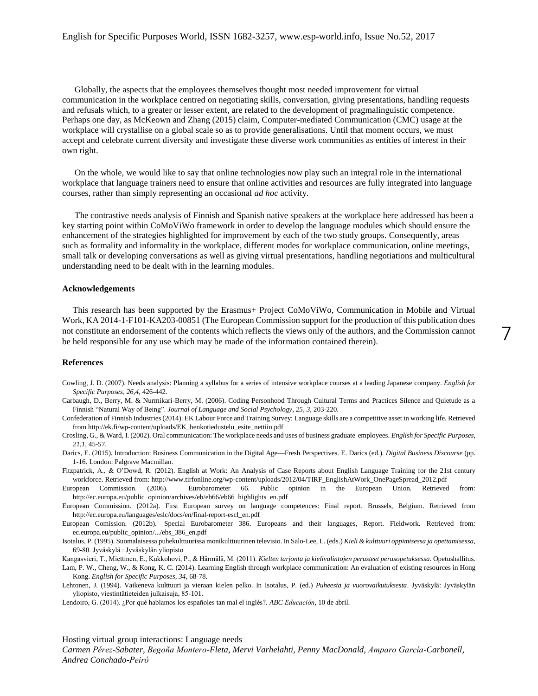Globally, the aspects that the employees themselves thought most needed improvement for virtual communication in the workplace centred on negotiating skills, conversation, giving presentations, handling requests and refusals which, to a greater or lesser extent, are related to the development of pragmalinguistic competence. Perhaps one day, as McKeown and Zhang (2015) claim, Computer-mediated Communication (CMC) usage at the workplace will crystallise on a global scale so as to provide generalisations. Until that moment occurs, we must accept and celebrate current diversity and investigate these diverse work communities as entities of interest in their own right.

On the whole, we would like to say that online technologies now play such an integral role in the international workplace that language trainers need to ensure that online activities and resources are fully integrated into language courses, rather than simply representing an occasional *ad hoc* activity.

The contrastive needs analysis of Finnish and Spanish native speakers at the workplace here addressed has been a key starting point within CoMoViWo framework in order to develop the language modules which should ensure the enhancement of the strategies highlighted for improvement by each of the two study groups. Consequently, areas such as formality and informality in the workplace, different modes for workplace communication, online meetings, small talk or developing conversations as well as giving virtual presentations, handling negotiations and multicultural understanding need to be dealt with in the learning modules.

#### **Acknowledgements**

This research has been supported by the Erasmus+ Project CoMoViWo, Communication in Mobile and Virtual Work, KA 2014-1-F101-KA203-00851 (The European Commission support for the production of this publication does not constitute an endorsement of the contents which reflects the views only of the authors, and the Commission cannot be held responsible for any use which may be made of the information contained therein).

7

#### **References**

- Cowling, J. D. (2007). Needs analysis: Planning a syllabus for a series of intensive workplace courses at a leading Japanese company. *English for Specific Purposes*, *26,4,* 426-442.
- Carbaugh, D., Berry, M. & Nurmikari-Berry, M. (2006). Coding Personhood Through Cultural Terms and Practices Silence and Quietude as a Finnish "Natural Way of Being". *Journal of Language and Social Psychology, 25, 3,* 203-220.
- Confederation of Finnish Industries (2014). EK Labour Force and Training Survey: Language skills are a competitive asset in working life. Retrieved from http://ek.fi/wp-content/uploads/EK\_henkotiedustelu\_esite\_nettiin.pdf
- Crosling, G., & Ward, I. (2002). Oral communication: The workplace needs and uses of business graduate employees. *English for Specific Purposes, 21*,*1*, 45-57.
- Darics, E. (2015). Introduction: Business Communication in the Digital Age—Fresh Perspectives. E. Darics (ed.). *Digital Business Discourse* (pp. 1-16. London: Palgrave Macmillan.
- Fitzpatrick, A., & O'Dowd, R. (2012). English at Work: An Analysis of Case Reports about English Language Training for the 21st century workforce. Retrieved from: http://www.tirfonline.org/wp-content/uploads/2012/04/TIRF\_EnglishAtWork\_OnePageSpread\_2012.pdf

European Commission. (2006). Eurobarometer 66. Public opinion in the European Union. Retrieved from: http://ec.europa.eu/public\_opinion/archives/eb/eb66/eb66\_highlights\_en.pdf

- European Commission. (2012a). First European survey on language competences: Final report. Brussels, Belgium. Retrieved from [http://ec.europa.eu/languages/eslc/docs/en/final-report-escl\\_en.pdf](http://ec.europa.eu/languages/eslc/docs/en/final-report-escl_en.pdf)
- European Comission. (2012b). Special Eurobarometer 386. Europeans and their languages, Report. Fieldwork. Retrieved from: ec.europa.eu/public\_opinion/.../ebs\_386\_en.pdf
- Isotalus, P. (1995). Suomalaisessa puhekulttuurissa monikulttuurinen televisio. In Salo-Lee, L. (eds.) *Kieli & kulttuuri oppimisessa ja opettamisessa*, 69-80. Jyväskylä : Jyväskylän yliopisto

Kangasvieri, T., Miettinen, E., Kukkohovi, P., & Härmälä, M. (2011). *Kielten tarjonta ja kielivalintojen perusteet perusopetuksessa*. Opetushallitus.

- Lam, P. W., Cheng, W., & Kong, K. C. (2014). Learning English through workplace communication: An evaluation of existing resources in Hong Kong. *English for Specific Purposes, 34*, 68-78.
- Lehtonen, J. (1994). Vaikeneva kulttuuri ja vieraan kielen pelko. In Isotalus, P. (ed.) *Puheesta ja vuorovaikutuksesta*. Jyväskylä: Jyväskylän yliopisto, viestintätieteiden julkaisuja, 85-101.
- Lendoiro, G. (2014). ¿Por qué hablamos los españoles tan mal el inglés?. *ABC Educación*, 10 de abril.

Hosting virtual group interactions: Language needs

*Carmen Pérez-Sabater, Begoña Montero-Fleta, Mervi Varhelahti, Penny MacDonald, Amparo García-Carbonell, Andrea Conchado-Peiró*